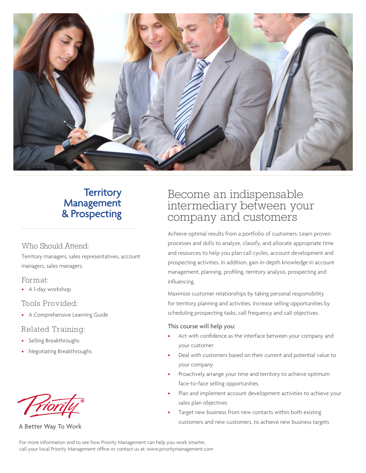

### **Territory** Management & Prospecting

#### Who Should Attend:

Territory managers, sales representatives, account managers, sales managers.

#### Format:

• A 1-day workshop

#### Tools Provided:

• A Comprehensive Learning Guide

#### Related Training:

- Selling Breakthroughs
- Negotiating Breakthroughs



A Better Way To Work

### Become an indispensable intermediary between your company and customers

Achieve optimal results from a portfolio of customers. Learn proven processes and skills to analyze, classify, and allocate appropriate time and resources to help you plan call cycles, account development and prospecting activities. In addition, gain in-depth knowledge in account management, planning, profiling, territory analysis, prospecting and influencing.

Maximize customer relationships by taking personal responsibility for territory planning and activities. Increase selling opportunities by scheduling prospecting tasks, call frequency and call objectives.

#### This course will help you:

- Act with confidence as the interface between your company and your customer
- Deal with customers based on their current and potential value to your company
- Proactively arrange your time and territory to achieve optimum face-to-face selling opportunities
- Plan and implement account development activities to achieve your sales plan objectives
- Target new business from new contacts within both existing customers and new customers, to achieve new business targets

For more information and to see how Priority Management can help you work smarter, call your local Priority Management office or contact us at: www.prioritymanagement.com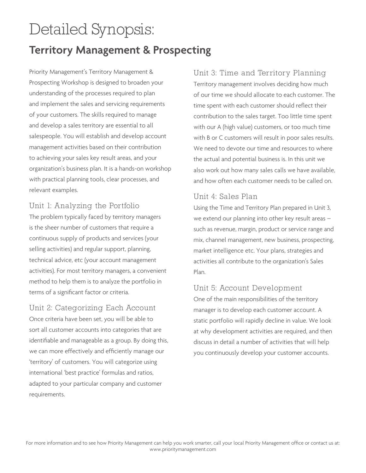# Detailed Synopsis:

## **Territory Management & Prospecting**

Priority Management's Territory Management & Prospecting Workshop is designed to broaden your understanding of the processes required to plan and implement the sales and servicing requirements of your customers. The skills required to manage and develop a sales territory are essential to all salespeople. You will establish and develop account management activities based on their contribution to achieving your sales key result areas, and your organization's business plan. It is a hands-on workshop with practical planning tools, clear processes, and relevant examples.

#### Unit 1: Analyzing the Portfolio

The problem typically faced by territory managers is the sheer number of customers that require a continuous supply of products and services (your selling activities) and regular support, planning, technical advice, etc (your account management activities). For most territory managers, a convenient method to help them is to analyze the portfolio in terms of a significant factor or criteria.

#### Unit 2: Categorizing Each Account

Once criteria have been set, you will be able to sort all customer accounts into categories that are identifiable and manageable as a group. By doing this, we can more effectively and efficiently manage our 'territory' of customers. You will categorize using international 'best practice' formulas and ratios, adapted to your particular company and customer requirements.

#### Unit 3: Time and Territory Planning

Territory management involves deciding how much of our time we should allocate to each customer. The time spent with each customer should reflect their contribution to the sales target. Too little time spent with our A (high value) customers, or too much time with B or C customers will result in poor sales results. We need to devote our time and resources to where the actual and potential business is. In this unit we also work out how many sales calls we have available, and how often each customer needs to be called on.

#### Unit 4: Sales Plan

Using the Time and Territory Plan prepared in Unit 3, we extend our planning into other key result areas – such as revenue, margin, product or service range and mix, channel management, new business, prospecting, market intelligence etc. Your plans, strategies and activities all contribute to the organization's Sales Plan.

#### Unit 5: Account Development

One of the main responsibilities of the territory manager is to develop each customer account. A static portfolio will rapidly decline in value. We look at why development activities are required, and then discuss in detail a number of activities that will help you continuously develop your customer accounts.